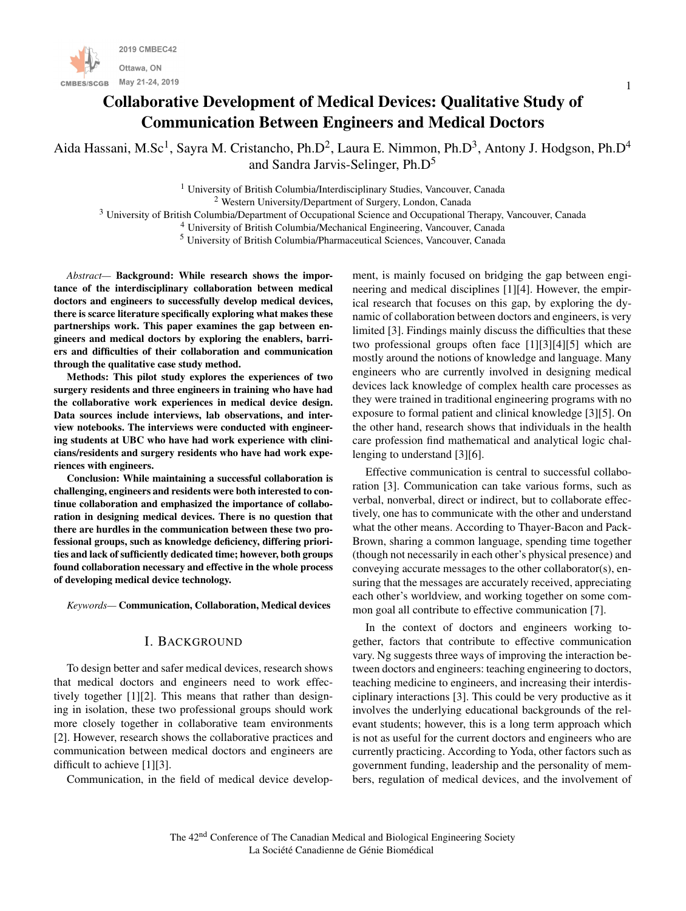

# Collaborative Development of Medical Devices: Qualitative Study of Communication Between Engineers and Medical Doctors

Aida Hassani, M.Sc<sup>1</sup>, Sayra M. Cristancho, Ph.D<sup>2</sup>, Laura E. Nimmon, Ph.D<sup>3</sup>, Antony J. Hodgson, Ph.D<sup>4</sup> and Sandra Jarvis-Selinger, Ph.D<sup>5</sup>

<sup>1</sup> University of British Columbia/Interdisciplinary Studies, Vancouver, Canada

<sup>2</sup> Western University/Department of Surgery, London, Canada

<sup>3</sup> University of British Columbia/Department of Occupational Science and Occupational Therapy, Vancouver, Canada

<sup>4</sup> University of British Columbia/Mechanical Engineering, Vancouver, Canada

<sup>5</sup> University of British Columbia/Pharmaceutical Sciences, Vancouver, Canada

*Abstract—* Background: While research shows the importance of the interdisciplinary collaboration between medical doctors and engineers to successfully develop medical devices, there is scarce literature specifically exploring what makes these partnerships work. This paper examines the gap between engineers and medical doctors by exploring the enablers, barriers and difficulties of their collaboration and communication through the qualitative case study method.

Methods: This pilot study explores the experiences of two surgery residents and three engineers in training who have had the collaborative work experiences in medical device design. Data sources include interviews, lab observations, and interview notebooks. The interviews were conducted with engineering students at UBC who have had work experience with clinicians/residents and surgery residents who have had work experiences with engineers.

Conclusion: While maintaining a successful collaboration is challenging, engineers and residents were both interested to continue collaboration and emphasized the importance of collaboration in designing medical devices. There is no question that there are hurdles in the communication between these two professional groups, such as knowledge deficiency, differing priorities and lack of sufficiently dedicated time; however, both groups found collaboration necessary and effective in the whole process of developing medical device technology.

*Keywords—* Communication, Collaboration, Medical devices

# I. BACKGROUND

To design better and safer medical devices, research shows that medical doctors and engineers need to work effectively together [1][2]. This means that rather than designing in isolation, these two professional groups should work more closely together in collaborative team environments [2]. However, research shows the collaborative practices and communication between medical doctors and engineers are difficult to achieve [1][3].

Communication, in the field of medical device develop-

ment, is mainly focused on bridging the gap between engineering and medical disciplines [1][4]. However, the empirical research that focuses on this gap, by exploring the dynamic of collaboration between doctors and engineers, is very limited [3]. Findings mainly discuss the difficulties that these two professional groups often face [1][3][4][5] which are mostly around the notions of knowledge and language. Many engineers who are currently involved in designing medical devices lack knowledge of complex health care processes as they were trained in traditional engineering programs with no exposure to formal patient and clinical knowledge [3][5]. On the other hand, research shows that individuals in the health care profession find mathematical and analytical logic challenging to understand [3][6].

Effective communication is central to successful collaboration [3]. Communication can take various forms, such as verbal, nonverbal, direct or indirect, but to collaborate effectively, one has to communicate with the other and understand what the other means. According to Thayer-Bacon and Pack-Brown, sharing a common language, spending time together (though not necessarily in each other's physical presence) and conveying accurate messages to the other collaborator(s), ensuring that the messages are accurately received, appreciating each other's worldview, and working together on some common goal all contribute to effective communication [7].

In the context of doctors and engineers working together, factors that contribute to effective communication vary. Ng suggests three ways of improving the interaction between doctors and engineers: teaching engineering to doctors, teaching medicine to engineers, and increasing their interdisciplinary interactions [3]. This could be very productive as it involves the underlying educational backgrounds of the relevant students; however, this is a long term approach which is not as useful for the current doctors and engineers who are currently practicing. According to Yoda, other factors such as government funding, leadership and the personality of members, regulation of medical devices, and the involvement of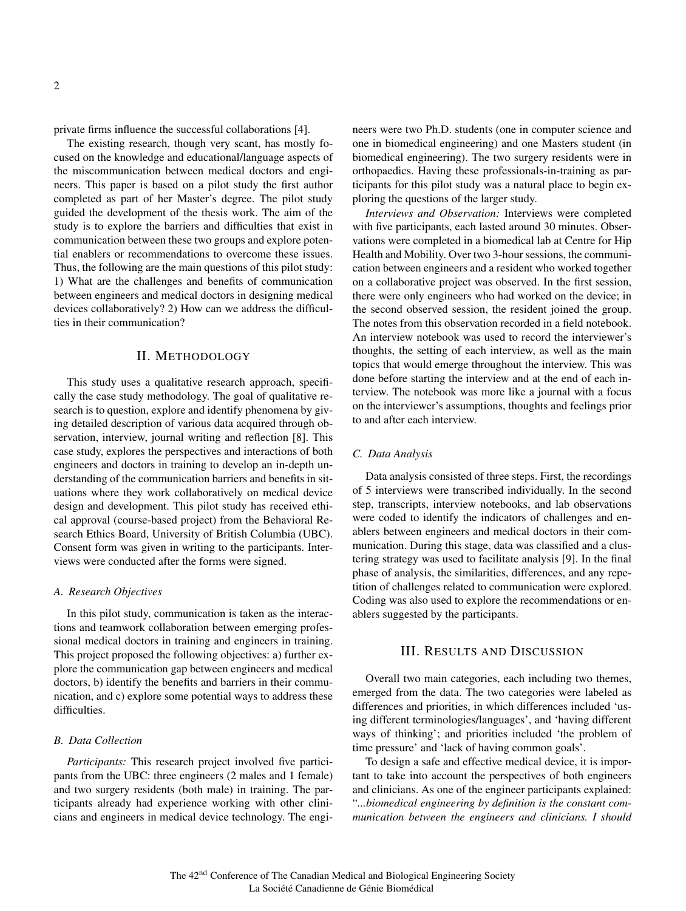private firms influence the successful collaborations [4].

The existing research, though very scant, has mostly focused on the knowledge and educational/language aspects of the miscommunication between medical doctors and engineers. This paper is based on a pilot study the first author completed as part of her Master's degree. The pilot study guided the development of the thesis work. The aim of the study is to explore the barriers and difficulties that exist in communication between these two groups and explore potential enablers or recommendations to overcome these issues. Thus, the following are the main questions of this pilot study: 1) What are the challenges and benefits of communication between engineers and medical doctors in designing medical devices collaboratively? 2) How can we address the difficulties in their communication?

## II. METHODOLOGY

This study uses a qualitative research approach, specifically the case study methodology. The goal of qualitative research is to question, explore and identify phenomena by giving detailed description of various data acquired through observation, interview, journal writing and reflection [8]. This case study, explores the perspectives and interactions of both engineers and doctors in training to develop an in-depth understanding of the communication barriers and benefits in situations where they work collaboratively on medical device design and development. This pilot study has received ethical approval (course-based project) from the Behavioral Research Ethics Board, University of British Columbia (UBC). Consent form was given in writing to the participants. Interviews were conducted after the forms were signed.

#### *A. Research Objectives*

In this pilot study, communication is taken as the interactions and teamwork collaboration between emerging professional medical doctors in training and engineers in training. This project proposed the following objectives: a) further explore the communication gap between engineers and medical doctors, b) identify the benefits and barriers in their communication, and c) explore some potential ways to address these difficulties.

#### *B. Data Collection*

*Participants:* This research project involved five participants from the UBC: three engineers (2 males and 1 female) and two surgery residents (both male) in training. The participants already had experience working with other clinicians and engineers in medical device technology. The engineers were two Ph.D. students (one in computer science and one in biomedical engineering) and one Masters student (in biomedical engineering). The two surgery residents were in orthopaedics. Having these professionals-in-training as participants for this pilot study was a natural place to begin exploring the questions of the larger study.

*Interviews and Observation:* Interviews were completed with five participants, each lasted around 30 minutes. Observations were completed in a biomedical lab at Centre for Hip Health and Mobility. Over two 3-hour sessions, the communication between engineers and a resident who worked together on a collaborative project was observed. In the first session, there were only engineers who had worked on the device; in the second observed session, the resident joined the group. The notes from this observation recorded in a field notebook. An interview notebook was used to record the interviewer's thoughts, the setting of each interview, as well as the main topics that would emerge throughout the interview. This was done before starting the interview and at the end of each interview. The notebook was more like a journal with a focus on the interviewer's assumptions, thoughts and feelings prior to and after each interview.

#### *C. Data Analysis*

Data analysis consisted of three steps. First, the recordings of 5 interviews were transcribed individually. In the second step, transcripts, interview notebooks, and lab observations were coded to identify the indicators of challenges and enablers between engineers and medical doctors in their communication. During this stage, data was classified and a clustering strategy was used to facilitate analysis [9]. In the final phase of analysis, the similarities, differences, and any repetition of challenges related to communication were explored. Coding was also used to explore the recommendations or enablers suggested by the participants.

#### III. RESULTS AND DISCUSSION

Overall two main categories, each including two themes, emerged from the data. The two categories were labeled as differences and priorities, in which differences included 'using different terminologies/languages', and 'having different ways of thinking'; and priorities included 'the problem of time pressure' and 'lack of having common goals'.

To design a safe and effective medical device, it is important to take into account the perspectives of both engineers and clinicians. As one of the engineer participants explained: "*...biomedical engineering by definition is the constant communication between the engineers and clinicians. I should*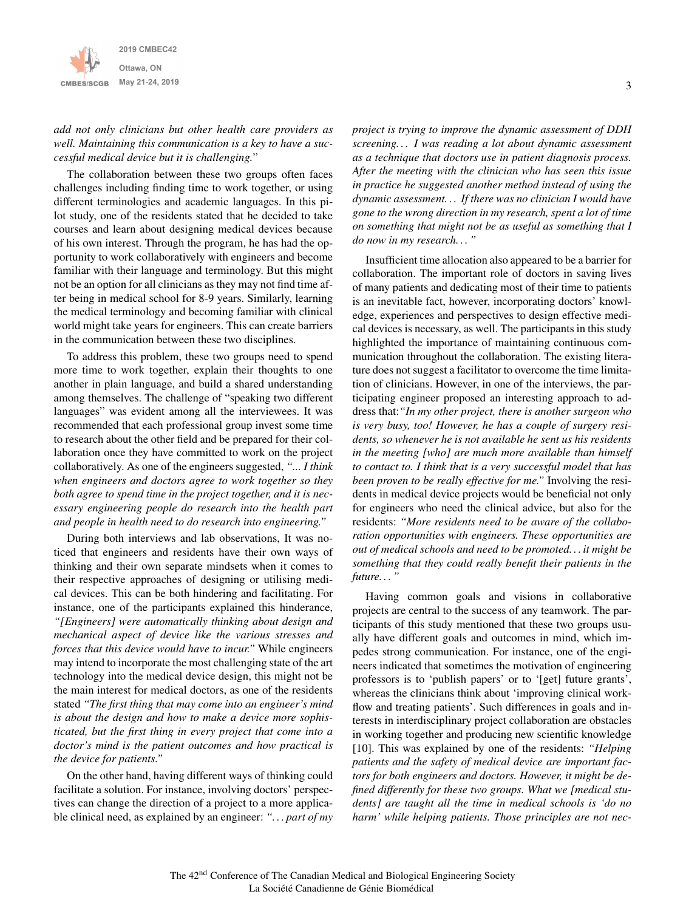

*add not only clinicians but other health care providers as well. Maintaining this communication is a key to have a successful medical device but it is challenging.*"

The collaboration between these two groups often faces challenges including finding time to work together, or using different terminologies and academic languages. In this pilot study, one of the residents stated that he decided to take courses and learn about designing medical devices because of his own interest. Through the program, he has had the opportunity to work collaboratively with engineers and become familiar with their language and terminology. But this might not be an option for all clinicians as they may not find time after being in medical school for 8-9 years. Similarly, learning the medical terminology and becoming familiar with clinical world might take years for engineers. This can create barriers in the communication between these two disciplines.

To address this problem, these two groups need to spend more time to work together, explain their thoughts to one another in plain language, and build a shared understanding among themselves. The challenge of "speaking two different languages" was evident among all the interviewees. It was recommended that each professional group invest some time to research about the other field and be prepared for their collaboration once they have committed to work on the project collaboratively. As one of the engineers suggested, *"... I think when engineers and doctors agree to work together so they both agree to spend time in the project together, and it is necessary engineering people do research into the health part and people in health need to do research into engineering."*

During both interviews and lab observations, It was noticed that engineers and residents have their own ways of thinking and their own separate mindsets when it comes to their respective approaches of designing or utilising medical devices. This can be both hindering and facilitating. For instance, one of the participants explained this hinderance, *"[Engineers] were automatically thinking about design and mechanical aspect of device like the various stresses and forces that this device would have to incur."* While engineers may intend to incorporate the most challenging state of the art technology into the medical device design, this might not be the main interest for medical doctors, as one of the residents stated *"The first thing that may come into an engineer's mind is about the design and how to make a device more sophisticated, but the first thing in every project that come into a doctor's mind is the patient outcomes and how practical is the device for patients."*

On the other hand, having different ways of thinking could facilitate a solution. For instance, involving doctors' perspectives can change the direction of a project to a more applicable clinical need, as explained by an engineer: *". . . part of my* *project is trying to improve the dynamic assessment of DDH screening. . . I was reading a lot about dynamic assessment as a technique that doctors use in patient diagnosis process. After the meeting with the clinician who has seen this issue in practice he suggested another method instead of using the dynamic assessment. . . If there was no clinician I would have gone to the wrong direction in my research, spent a lot of time on something that might not be as useful as something that I do now in my research. . . "*

Insufficient time allocation also appeared to be a barrier for collaboration. The important role of doctors in saving lives of many patients and dedicating most of their time to patients is an inevitable fact, however, incorporating doctors' knowledge, experiences and perspectives to design effective medical devices is necessary, as well. The participants in this study highlighted the importance of maintaining continuous communication throughout the collaboration. The existing literature does not suggest a facilitator to overcome the time limitation of clinicians. However, in one of the interviews, the participating engineer proposed an interesting approach to address that:*"In my other project, there is another surgeon who is very busy, too! However, he has a couple of surgery residents, so whenever he is not available he sent us his residents in the meeting [who] are much more available than himself to contact to. I think that is a very successful model that has been proven to be really effective for me."* Involving the residents in medical device projects would be beneficial not only for engineers who need the clinical advice, but also for the residents: *"More residents need to be aware of the collaboration opportunities with engineers. These opportunities are out of medical schools and need to be promoted. . . it might be something that they could really benefit their patients in the future. . . "*

Having common goals and visions in collaborative projects are central to the success of any teamwork. The participants of this study mentioned that these two groups usually have different goals and outcomes in mind, which impedes strong communication. For instance, one of the engineers indicated that sometimes the motivation of engineering professors is to 'publish papers' or to '[get] future grants', whereas the clinicians think about 'improving clinical workflow and treating patients'. Such differences in goals and interests in interdisciplinary project collaboration are obstacles in working together and producing new scientific knowledge [10]. This was explained by one of the residents: *"Helping patients and the safety of medical device are important factors for both engineers and doctors. However, it might be defined differently for these two groups. What we [medical students] are taught all the time in medical schools is 'do no harm' while helping patients. Those principles are not nec-*